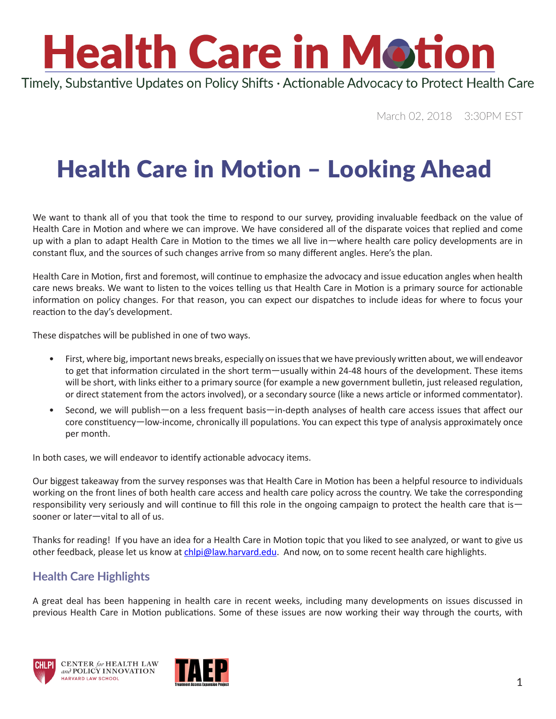# **Health Care in Motion**

Timely, Substantive Updates on Policy Shifts · Actionable Advocacy to Protect Health Care

March 02, 2018 3:30PM EST

#### Health Care in Motion – Looking Ahead

We want to thank all of you that took the time to respond to our survey, providing invaluable feedback on the value of Health Care in Motion and where we can improve. We have considered all of the disparate voices that replied and come up with a plan to adapt Health Care in Motion to the times we all live in—where health care policy developments are in constant flux, and the sources of such changes arrive from so many different angles. Here's the plan.

Health Care in Motion, first and foremost, will continue to emphasize the advocacy and issue education angles when health care news breaks. We want to listen to the voices telling us that Health Care in Motion is a primary source for actionable information on policy changes. For that reason, you can expect our dispatches to include ideas for where to focus your reaction to the day's development.

These dispatches will be published in one of two ways.

- First, where big, important news breaks, especially on issues that we have previously written about, we will endeavor to get that information circulated in the short term—usually within 24-48 hours of the development. These items will be short, with links either to a primary source (for example a new government bulletin, just released regulation, or direct statement from the actors involved), or a secondary source (like a news article or informed commentator).
- Second, we will publish—on a less frequent basis—in-depth analyses of health care access issues that affect our core constituency—low-income, chronically ill populations. You can expect this type of analysis approximately once per month.

In both cases, we will endeavor to identify actionable advocacy items.

Our biggest takeaway from the survey responses was that Health Care in Motion has been a helpful resource to individuals working on the front lines of both health care access and health care policy across the country. We take the corresponding responsibility very seriously and will continue to fill this role in the ongoing campaign to protect the health care that is sooner or later—vital to all of us.

Thanks for reading! If you have an idea for a Health Care in Motion topic that you liked to see analyzed, or want to give us other feedback, please let us know at [chlpi@law.harvard.edu.](ard.edu) And now, on to some recent health care highlights.

#### **Health Care Highlights**

A great deal has been happening in health care in recent weeks, including many developments on issues discussed in previous Health Care in Motion publications. Some of these issues are now working their way through the courts, with





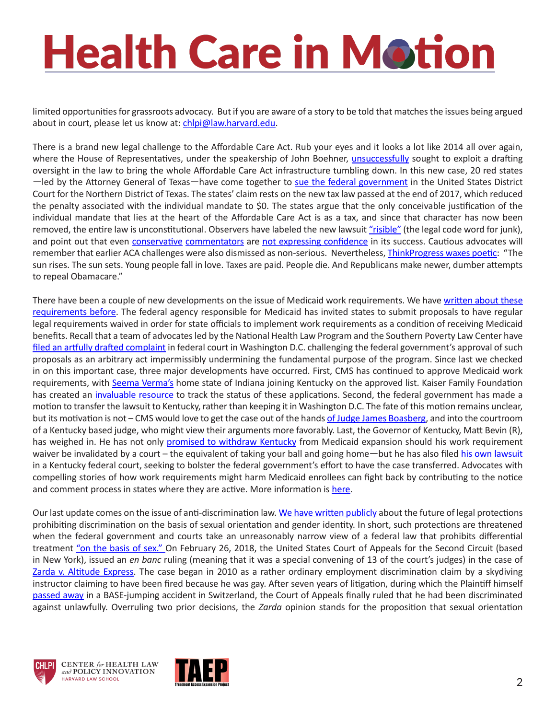### **Health Care in Motion**

limited opportunities for grassroots advocacy. But if you are aware of a story to be told that matches the issues being argued about in court, please let us know at: [chlpi@law.harvard.edu](mailto:chlpi@law.harvard.edu).

There is a brand new legal challenge to the Affordable Care Act. Rub your eyes and it looks a lot like 2014 all over again, where the House of Representatives, under the speakership of John Boehner, [unsuccessfully](https://www.oyez.org/cases/2014/14-114) sought to exploit a drafting oversight in the law to bring the whole Affordable Care Act infrastructure tumbling down. In this new case, 20 red states —led by the Attorney General of Texas—have come together to [sue the federal government](https://www.texasattorneygeneral.gov/files/epress/Texas_Wisconsin_et_al_v._U.S._et_al_-_ACA_Complaint_(02-26-18).pdf) in the United States District Court for the Northern District of Texas. The states' claim rests on the new tax law passed at the end of 2017, which reduced the penalty associated with the individual mandate to \$0. The states argue that the only conceivable justification of the individual mandate that lies at the heart of the Affordable Care Act is as a tax, and since that character has now been removed, the entire law is unconstitutional. Observers have labeled the new lawsuit ["risible"](https://thinkprogress.org/obamacare-repeal-lawsuit-republican-governors-attorneys-general-2aef6cde8775/) (the legal code word for junk), and point out that even [conservative](https://twitter.com/kevincwalsh/status/968297101506633728) [commentators](https://twitter.com/SeanTrende/status/968282868618268673) are [not expressing confidence](https://twitter.com/jadler1969/status/968604298316861440) in its success. Cautious advocates will remember that earlier ACA challenges were also dismissed as non-serious. Nevertheless, [ThinkProgress waxes poetic](https://thinkprogress.org/obamacare-repeal-lawsuit-republican-governors-attorneys-general-2aef6cde8775/): "The sun rises. The sun sets. Young people fall in love. Taxes are paid. People die. And Republicans make newer, dumber attempts to repeal Obamacare."

There have been a couple of new developments on the issue of Medicaid work requirements. We have [written about these](https://www.chlpi.org/wp-content/uploads/2013/12/HCIM_01_19_2018.pdf)  [requirements before.](https://www.chlpi.org/wp-content/uploads/2013/12/HCIM_01_19_2018.pdf) The federal agency responsible for Medicaid has invited states to submit proposals to have regular legal requirements waived in order for state officials to implement work requirements as a condition of receiving Medicaid benefits. Recall that a team of advocates led by the National Health Law Program and the Southern Poverty Law Center have [filed an artfully drafted complaint](http://www.healthlaw.org/publications/browse-all-publications/stewart-v-hargan-lawsuit-challenging-kentucky-medicaid-waiver-project#.WpmFTpMbNE5) in federal court in Washington D.C. challenging the federal government's approval of such proposals as an arbitrary act impermissibly undermining the fundamental purpose of the program. Since last we checked in on this important case, three major developments have occurred. First, CMS has continued to approve Medicaid work requirements, with [Seema Verma's](https://www.cms.gov/about-cms/leadership/) home state of Indiana joining Kentucky on the approved list. Kaiser Family Foundation has created an [invaluable resource](https://www.kff.org/medicaid/issue-brief/which-states-have-approved-and-pending-section-1115-medicaid-waivers/) to track the status of these applications. Second, the federal government has made a motion to transfer the lawsuit to Kentucky, rather than keeping it in Washington D.C. The fate of this motion remains unclear, but its motivation is not – CMS would love to get the case out of the hands [of Judge James Boasberg](http://www.dcd.uscourts.gov/content/district-judge-james-e-boasberg), and into the courtroom of a Kentucky based judge, who might view their arguments more favorably. Last, the Governor of Kentucky, Matt Bevin (R), has weighed in. He has not only [promised to withdraw Kentucky](http://thehill.com/policy/healthcare/369212-kentucky-gov-threatens-to-end-medicaid-expansion) from Medicaid expansion should his work requirement waiver be invalidated by a court – the equivalent of taking your ball and going home—but he has also filed [his own lawsuit](http://thehill.com/policy/healthcare/374652-kentucky-governor-countersues-over-medicaid-work-requirements) in a Kentucky federal court, seeking to bolster the federal government's effort to have the case transferred. Advocates with compelling stories of how work requirements might harm Medicaid enrollees can fight back by contributing to the notice and comment process in states where they are active. More information is [here.](https://www.chlpi.org/wp-content/uploads/2013/12/HCIM_01_19_2018.pdf)

Our last update comes on the issue of anti-discrimination law. [We have written publicly](https://www.healthaffairs.org/do/10.1377/hblog20180122.689768/full/) about the future of legal protections prohibiting discrimination on the basis of sexual orientation and gender identity. In short, such protections are threatened when the federal government and courts take an unreasonably narrow view of a federal law that prohibits differential treatment ["on the basis of sex."](https://www2.ed.gov/about/offices/list/ocr/docs/tix_dis.html) On February 26, 2018, the United States Court of Appeals for the Second Circuit (based in New York), issued an *en banc* ruling (meaning that it was a special convening of 13 of the court's judges) in the case of [Zarda v. Altitude Express](https://law.justia.com/cases/federal/appellate-courts/ca2/15-3775/15-3775-2018-02-26.html). The case began in 2010 as a rather ordinary employment discrimination claim by a skydiving instructor claiming to have been fired because he was gay. After seven years of litigation, during which the Plaintiff himself [passed away](http://www.legacy.com/obituaries/name/donald-zarda-obituary?pid=172943894&view=guestbook) in a BASE-jumping accident in Switzerland, the Court of Appeals finally ruled that he had been discriminated against unlawfully. Overruling two prior decisions, the *Zarda* opinion stands for the proposition that sexual orientation